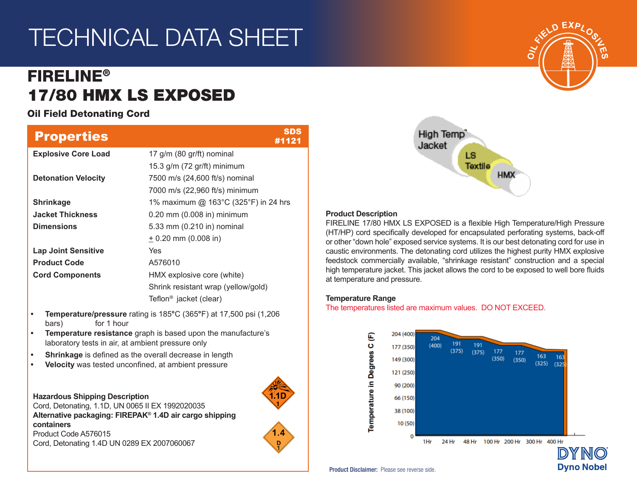# TECHNICAL DATA SHEET

# FIRELINE® 17/80 HMX LS EXPOSED

Oil Field Detonating Cord

| 17 g/m (80 gr/ft) nominal<br>15.3 g/m (72 gr/ft) minimum<br>7500 m/s (24,600 ft/s) nominal<br>7000 m/s (22,960 ft/s) minimum<br>1% maximum @ 163°C (325°F) in 24 hrs<br>0.20 mm (0.008 in) minimum<br>5.33 mm (0.210 in) nominal                      |  |  |  |  |  |  |  |  |
|-------------------------------------------------------------------------------------------------------------------------------------------------------------------------------------------------------------------------------------------------------|--|--|--|--|--|--|--|--|
|                                                                                                                                                                                                                                                       |  |  |  |  |  |  |  |  |
|                                                                                                                                                                                                                                                       |  |  |  |  |  |  |  |  |
|                                                                                                                                                                                                                                                       |  |  |  |  |  |  |  |  |
|                                                                                                                                                                                                                                                       |  |  |  |  |  |  |  |  |
|                                                                                                                                                                                                                                                       |  |  |  |  |  |  |  |  |
|                                                                                                                                                                                                                                                       |  |  |  |  |  |  |  |  |
|                                                                                                                                                                                                                                                       |  |  |  |  |  |  |  |  |
| $± 0.20$ mm (0.008 in)                                                                                                                                                                                                                                |  |  |  |  |  |  |  |  |
| Yes                                                                                                                                                                                                                                                   |  |  |  |  |  |  |  |  |
| A576010                                                                                                                                                                                                                                               |  |  |  |  |  |  |  |  |
| HMX explosive core (white)                                                                                                                                                                                                                            |  |  |  |  |  |  |  |  |
| Shrink resistant wrap (yellow/gold)                                                                                                                                                                                                                   |  |  |  |  |  |  |  |  |
| Teflon <sup>®</sup> jacket (clear)                                                                                                                                                                                                                    |  |  |  |  |  |  |  |  |
| Temperature/pressure rating is 185°C (365°F) at 17,500 psi (1,206<br>$\bullet$<br>for 1 hour<br>bars)                                                                                                                                                 |  |  |  |  |  |  |  |  |
| Temperature resistance graph is based upon the manufacture's<br>$\bullet$<br>laboratory tests in air, at ambient pressure only                                                                                                                        |  |  |  |  |  |  |  |  |
| Shrinkage is defined as the overall decrease in length                                                                                                                                                                                                |  |  |  |  |  |  |  |  |
| Velocity was tested unconfined, at ambient pressure                                                                                                                                                                                                   |  |  |  |  |  |  |  |  |
| <b>Hazardous Shipping Description</b><br>Cord, Detonating, 1.1D, UN 0065 II EX 1992020035<br>Alternative packaging: FIREPAK® 1.4D air cargo shipping<br>containers<br>1.4<br>Product Code A576015<br>Cord, Detonating 1.4D UN 0289 EX 2007060067<br>D |  |  |  |  |  |  |  |  |
|                                                                                                                                                                                                                                                       |  |  |  |  |  |  |  |  |



## **Product Description**

FIRELINE 17/80 HMX LS EXPOSED is a flexible High Temperature/High Pressure (HT/HP) cord specifically developed for encapsulated perforating systems, back-off or other "down hole" exposed service systems. It is our best detonating cord for use in caustic environments. The detonating cord utilizes the highest purity HMX explosive feedstock commercially available, "shrinkage resistant" construction and a special high temperature jacket. This jacket allows the cord to be exposed to well bore fluids at temperature and pressure.

### **Temperature Range**

The temperatures listed are maximum values. DO NOT EXCEED.